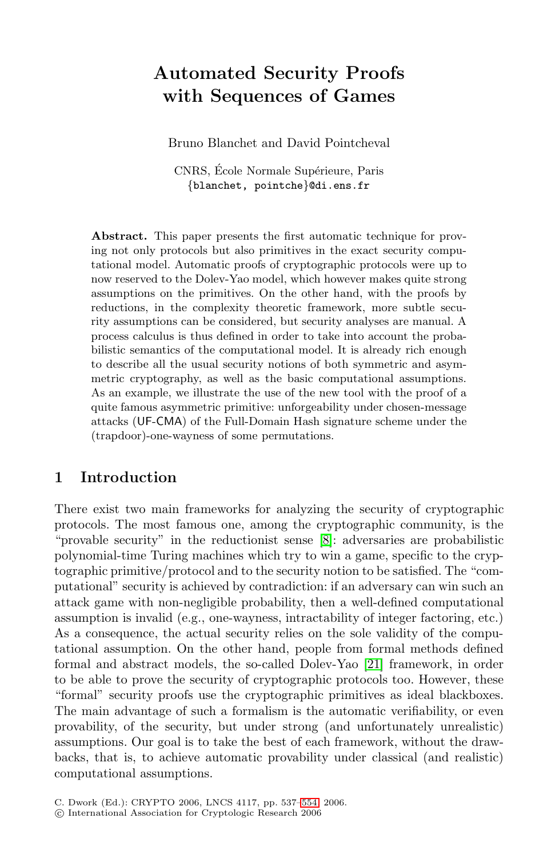# **Automated Security Proofs with Sequences of Games**

Bruno Blanchet and David Pointcheval

CNRS, École Normale Supérieure, Paris {blanchet, pointche}@di.ens.fr

**Abstract.** This paper presents the first automatic technique for proving not only protocols but also primitives in the exact security computational model. Automatic proofs of cryptographic protocols were up to now reserved to the Dolev-Yao model, which however makes quite strong assumptions on the primitives. On the other hand, with the proofs by reductions, in the complexity theoretic framework, more subtle security assumptions can be considered, but security analyses are manual. A process calculus is thus defined in order to take into account the probabilistic semantics of the computational model. It is already rich enough to describe all the usual security notions of both symmetric and asymmetric cryptography, as well as the basic computational assumptions. As an example, we illustrate the use of the new tool with the proof of a quite famous asymmetric primitive: unforgeability under chosen-message attacks (UF-CMA) of the Full-Domain Hash signature scheme under the (trapdoor)-one-wayness of some permutations.

## **1 Introduction**

There exist two main frameworks for analyzing the security of cryptographic protocols. The most famous one, among the cryptographic community, is the "provable security" in the reductionist sense [\[8\]](#page-16-0): adversaries are probabilistic polynomial-time Turing machines which try to win a game, specific to the cryptographic primitive/protocol and to the security notion to be satisfied. The "computational" security is achieved by contradiction: if an adversary can win such an attack game with non-negligible probability, then a well-defined computational assumption is invalid (e.g., one-wayness, intractability of integer factoring, etc.) As a consequence, the actual security relies on the sole validity of the computational assumption. On the other hand, people from formal methods defined formal and abstract models, the so-called Dolev-Yao [\[21\]](#page-17-0) framework, in order to be able to prove the security of cryptographic protocols too. However, these "formal" security proofs use the cryptographic primitives as ideal blackboxes. The main advantage of such a formalism is the automatic verifiability, or even provability, of the security, but under strong (and unfortunately unrealistic) assumptions. Our goal is to take the best of each framework, without the drawbacks, that is, to achieve automatic provability under classical (and realistic) computational assumptions.

<sup>-</sup>c International Association for Cryptologic Research 2006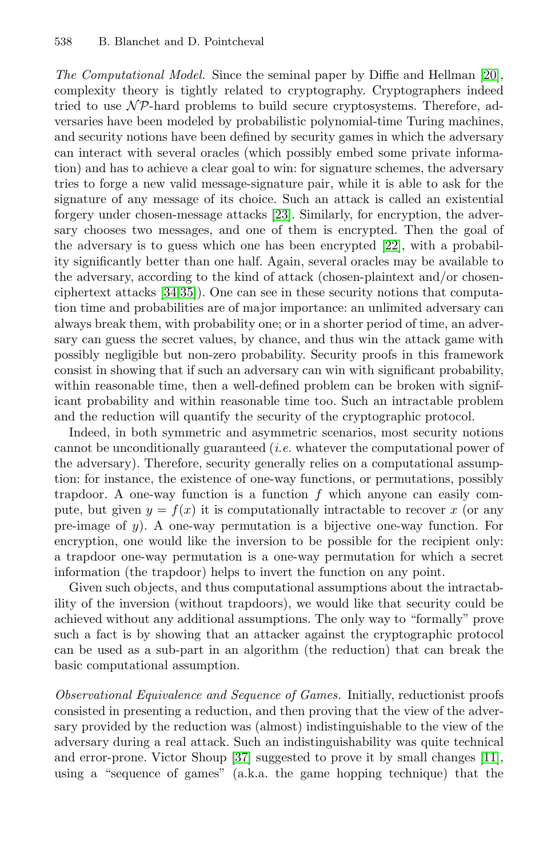*The Computational Model.* Since the seminal paper by Diffie and Hellman [\[20\]](#page-17-1), complexity theory is tightly related to cryptography. Cryptographers indeed tried to use  $\mathcal{NP}$ -hard problems to build secure cryptosystems. Therefore, adversaries have been modeled by probabilistic polynomial-time Turing machines, and security notions have been defined by security games in which the adversary can interact with several oracles (which possibly embed some private information) and has to achieve a clear goal to win: for signature schemes, the adversary tries to forge a new valid message-signature pair, while it is able to ask for the signature of any message of its choice. Such an attack is called an existential forgery under chosen-message attacks [\[23\]](#page-17-2). Similarly, for encryption, the adversary chooses two messages, and one of them is encrypted. Then the goal of the adversary is to guess which one has been encrypted [\[22\]](#page-17-3), with a probability significantly better than one half. Again, several oracles may be available to the adversary, according to the kind of attack (chosen-plaintext and/or chosenciphertext attacks [\[34,](#page-17-4)[35\]](#page-17-5)). One can see in these security notions that computation time and probabilities are of major importance: an unlimited adversary can always break them, with probability one; or in a shorter period of time, an adversary can guess the secret values, by chance, and thus win the attack game with possibly negligible but non-zero probability. Security proofs in this framework consist in showing that if such an adversary can win with significant probability, within reasonable time, then a well-defined problem can be broken with significant probability and within reasonable time too. Such an intractable problem and the reduction will quantify the security of the cryptographic protocol.

Indeed, in both symmetric and asymmetric scenarios, most security notions cannot be unconditionally guaranteed (*i.e.* whatever the computational power of the adversary). Therefore, security generally relies on a computational assumption: for instance, the existence of one-way functions, or permutations, possibly trapdoor. A one-way function is a function  $f$  which anyone can easily compute, but given  $y = f(x)$  it is computationally intractable to recover x (or any pre-image of y). A one-way permutation is a bijective one-way function. For encryption, one would like the inversion to be possible for the recipient only: a trapdoor one-way permutation is a one-way permutation for which a secret information (the trapdoor) helps to invert the function on any point.

Given such objects, and thus computational assumptions about the intractability of the inversion (without trapdoors), we would like that security could be achieved without any additional assumptions. The only way to "formally" prove such a fact is by showing that an attacker against the cryptographic protocol can be used as a sub-part in an algorithm (the reduction) that can break the basic computational assumption.

*Observational Equivalence and Sequence of Games.* Initially, reductionist proofs consisted in presenting a reduction, and then proving that the view of the adversary provided by the reduction was (almost) indistinguishable to the view of the adversary during a real attack. Such an indistinguishability was quite technical and error-prone. Victor Shoup [\[37\]](#page-17-6) suggested to prove it by small changes [\[11\]](#page-16-2), using a "sequence of games" (a.k.a. the game hopping technique) that the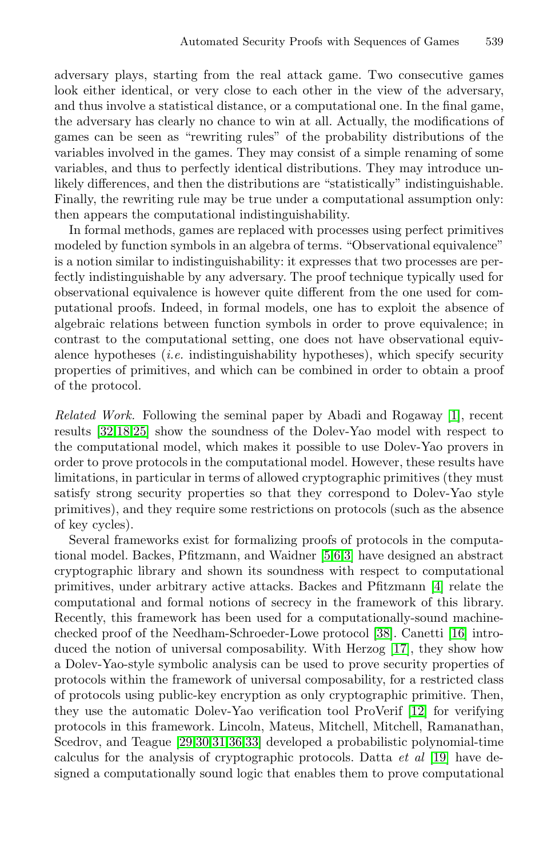adversary plays, starting from the real attack game. Two consecutive games look either identical, or very close to each other in the view of the adversary, and thus involve a statistical distance, or a computational one. In the final game, the adversary has clearly no chance to win at all. Actually, the modifications of games can be seen as "rewriting rules" of the probability distributions of the variables involved in the games. They may consist of a simple renaming of some variables, and thus to perfectly identical distributions. They may introduce unlikely differences, and then the distributions are "statistically" indistinguishable. Finally, the rewriting rule may be true under a computational assumption only: then appears the computational indistinguishability.

In formal methods, games are replaced with processes using perfect primitives modeled by function symbols in an algebra of terms. "Observational equivalence" is a notion similar to indistinguishability: it expresses that two processes are perfectly indistinguishable by any adversary. The proof technique typically used for observational equivalence is however quite different from the one used for computational proofs. Indeed, in formal models, one has to exploit the absence of algebraic relations between function symbols in order to prove equivalence; in contrast to the computational setting, one does not have observational equivalence hypotheses (*i.e.* indistinguishability hypotheses), which specify security properties of primitives, and which can be combined in order to obtain a proof of the protocol.

*Related Work.* Following the seminal paper by Abadi and Rogaway [\[1\]](#page-16-3), recent results [\[32,](#page-17-7)[18,](#page-16-4)[25\]](#page-17-8) show the soundness of the Dolev-Yao model with respect to the computational model, which makes it possible to use Dolev-Yao provers in order to prove protocols in the computational model. However, these results have limitations, in particular in terms of allowed cryptographic primitives (they must satisfy strong security properties so that they correspond to Dolev-Yao style primitives), and they require some restrictions on protocols (such as the absence of key cycles).

Several frameworks exist for formalizing proofs of protocols in the computational model. Backes, Pfitzmann, and Waidner [\[5](#page-16-5)[,6](#page-16-6)[,3\]](#page-16-7) have designed an abstract cryptographic library and shown its soundness with respect to computational primitives, under arbitrary active attacks. Backes and Pfitzmann [\[4\]](#page-16-8) relate the computational and formal notions of secrecy in the framework of this library. Recently, this framework has been used for a computationally-sound machinechecked proof of the Needham-Schroeder-Lowe protocol [\[38\]](#page-17-9). Canetti [\[16\]](#page-16-9) introduced the notion of universal composability. With Herzog [\[17\]](#page-16-10), they show how a Dolev-Yao-style symbolic analysis can be used to prove security properties of protocols within the framework of universal composability, for a restricted class of protocols using public-key encryption as only cryptographic primitive. Then, they use the automatic Dolev-Yao verification tool ProVerif [\[12\]](#page-16-11) for verifying protocols in this framework. Lincoln, Mateus, Mitchell, Mitchell, Ramanathan, Scedrov, and Teague [\[29,](#page-17-10)[30,](#page-17-11)[31](#page-17-12)[,36](#page-17-13)[,33\]](#page-17-14) developed a probabilistic polynomial-time calculus for the analysis of cryptographic protocols. Datta *et al* [\[19\]](#page-16-12) have designed a computationally sound logic that enables them to prove computational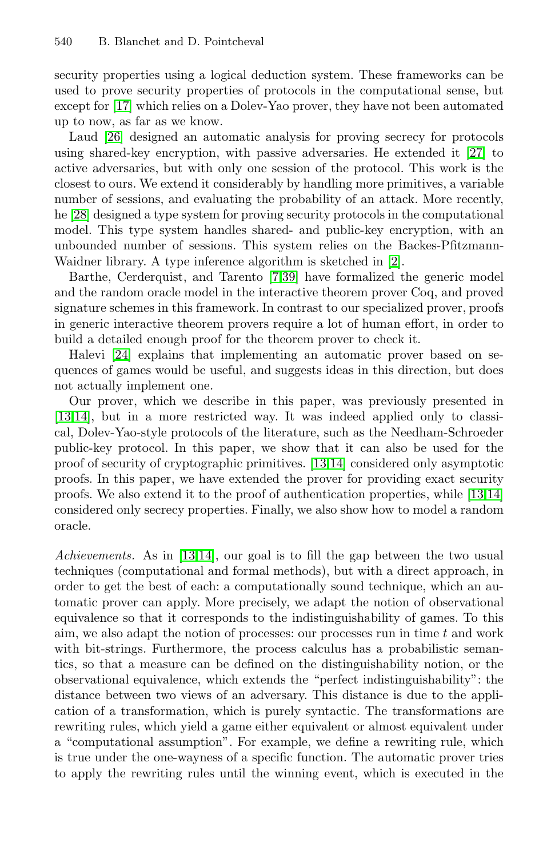security properties using a logical deduction system. These frameworks can be used to prove security properties of protocols in the computational sense, but except for [\[17\]](#page-16-10) which relies on a Dolev-Yao prover, they have not been automated up to now, as far as we know.

Laud [\[26\]](#page-17-15) designed an automatic analysis for proving secrecy for protocols using shared-key encryption, with passive adversaries. He extended it [\[27\]](#page-17-16) to active adversaries, but with only one session of the protocol. This work is the closest to ours. We extend it considerably by handling more primitives, a variable number of sessions, and evaluating the probability of an attack. More recently, he [\[28\]](#page-17-17) designed a type system for proving security protocols in the computational model. This type system handles shared- and public-key encryption, with an unbounded number of sessions. This system relies on the Backes-Pfitzmann-Waidner library. A type inference algorithm is sketched in [\[2\]](#page-16-13).

Barthe, Cerderquist, and Tarento [\[7,](#page-16-14)[39\]](#page-17-18) have formalized the generic model and the random oracle model in the interactive theorem prover Coq, and proved signature schemes in this framework. In contrast to our specialized prover, proofs in generic interactive theorem provers require a lot of human effort, in order to build a detailed enough proof for the theorem prover to check it.

Halevi [\[24\]](#page-17-19) explains that implementing an automatic prover based on sequences of games would be useful, and suggests ideas in this direction, but does not actually implement one.

Our prover, which we describe in this paper, was previously presented in [\[13,](#page-16-15)[14\]](#page-16-16), but in a more restricted way. It was indeed applied only to classical, Dolev-Yao-style protocols of the literature, such as the Needham-Schroeder public-key protocol. In this paper, we show that it can also be used for the proof of security of cryptographic primitives. [\[13](#page-16-15)[,14\]](#page-16-16) considered only asymptotic proofs. In this paper, we have extended the prover for providing exact security proofs. We also extend it to the proof of authentication properties, while [\[13](#page-16-15)[,14\]](#page-16-16) considered only secrecy properties. Finally, we also show how to model a random oracle.

*Achievements.* As in [\[13](#page-16-15)[,14\]](#page-16-16), our goal is to fill the gap between the two usual techniques (computational and formal methods), but with a direct approach, in order to get the best of each: a computationally sound technique, which an automatic prover can apply. More precisely, we adapt the notion of observational equivalence so that it corresponds to the indistinguishability of games. To this aim, we also adapt the notion of processes: our processes run in time t and work with bit-strings. Furthermore, the process calculus has a probabilistic semantics, so that a measure can be defined on the distinguishability notion, or the observational equivalence, which extends the "perfect indistinguishability": the distance between two views of an adversary. This distance is due to the application of a transformation, which is purely syntactic. The transformations are rewriting rules, which yield a game either equivalent or almost equivalent under a "computational assumption". For example, we define a rewriting rule, which is true under the one-wayness of a specific function. The automatic prover tries to apply the rewriting rules until the winning event, which is executed in the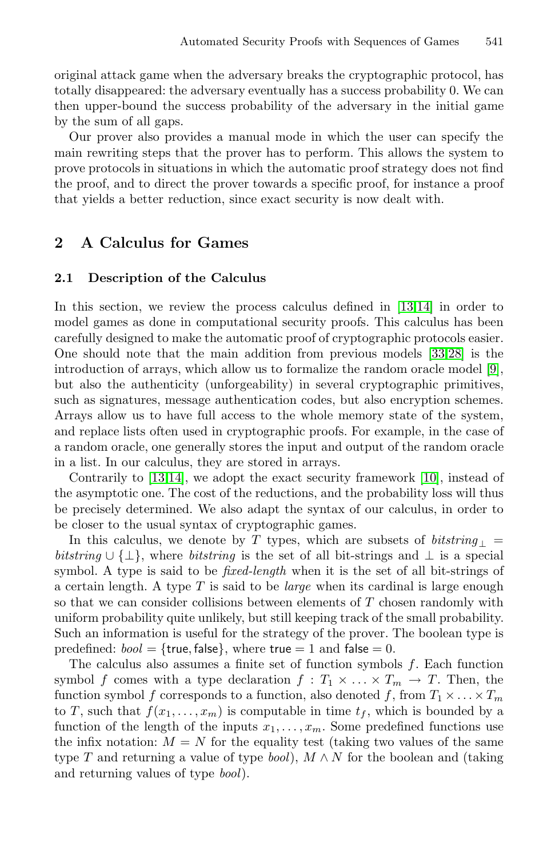original attack game when the adversary breaks the cryptographic protocol, has totally disappeared: the adversary eventually has a success probability 0. We can then upper-bound the success probability of the adversary in the initial game by the sum of all gaps.

Our prover also provides a manual mode in which the user can specify the main rewriting steps that the prover has to perform. This allows the system to prove protocols in situations in which the automatic proof strategy does not find the proof, and to direct the prover towards a specific proof, for instance a proof that yields a better reduction, since exact security is now dealt with.

#### <span id="page-4-0"></span>**2 A Calculus for Games**

#### **2.1 Description of the Calculus**

In this section, we review the process calculus defined in [\[13](#page-16-15)[,14\]](#page-16-16) in order to model games as done in computational security proofs. This calculus has been carefully designed to make the automatic proof of cryptographic protocols easier. One should note that the main addition from previous models [\[33](#page-17-14)[,28\]](#page-17-17) is the introduction of arrays, which allow us to formalize the random oracle model [\[9\]](#page-16-17), but also the authenticity (unforgeability) in several cryptographic primitives, such as signatures, message authentication codes, but also encryption schemes. Arrays allow us to have full access to the whole memory state of the system, and replace lists often used in cryptographic proofs. For example, in the case of a random oracle, one generally stores the input and output of the random oracle in a list. In our calculus, they are stored in arrays.

Contrarily to [\[13,](#page-16-15)[14\]](#page-16-16), we adopt the exact security framework [\[10\]](#page-16-18), instead of the asymptotic one. The cost of the reductions, and the probability loss will thus be precisely determined. We also adapt the syntax of our calculus, in order to be closer to the usual syntax of cryptographic games.

In this calculus, we denote by T types, which are subsets of *bitstring*<sub>⊥</sub> = *bitstring* ∪ {⊥}, where *bitstring* is the set of all bit-strings and ⊥ is a special symbol. A type is said to be *fixed-length* when it is the set of all bit-strings of a certain length. A type T is said to be *large* when its cardinal is large enough so that we can consider collisions between elements of T chosen randomly with uniform probability quite unlikely, but still keeping track of the small probability. Such an information is useful for the strategy of the prover. The boolean type is predefined:  $bool = \{true, false\}$ , where true  $= 1$  and false  $= 0$ .

The calculus also assumes a finite set of function symbols  $f$ . Each function symbol f comes with a type declaration  $f : T_1 \times \ldots \times T_m \to T$ . Then, the function symbol f corresponds to a function, also denoted f, from  $T_1 \times \ldots \times T_m$ to T, such that  $f(x_1,...,x_m)$  is computable in time  $t_f$ , which is bounded by a function of the length of the inputs  $x_1, \ldots, x_m$ . Some predefined functions use the infix notation:  $M = N$  for the equality test (taking two values of the same type T and returning a value of type *bool*),  $M \wedge N$  for the boolean and (taking and returning values of type *bool*).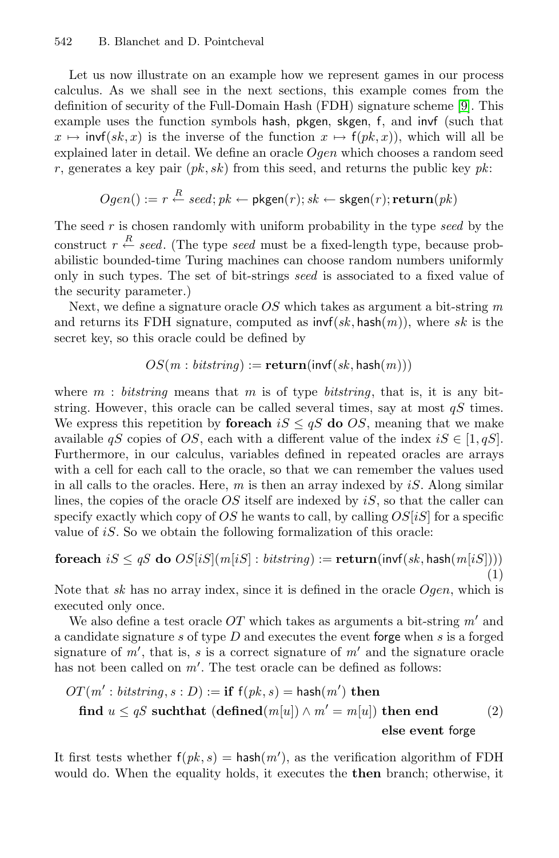Let us now illustrate on an example how we represent games in our process calculus. As we shall see in the next sections, this example comes from the definition of security of the Full-Domain Hash (FDH) signature scheme [\[9\]](#page-16-17). This example uses the function symbols hash, pkgen, skgen, f, and invf (such that  $x \mapsto \text{invf}(sk, x)$  is the inverse of the function  $x \mapsto f(pk, x)$ , which will all be explained later in detail. We define an oracle  $Ogen$  which chooses a random seed r, generates a key pair  $(pk, sk)$  from this seed, and returns the public key  $pk$ .

$$
Ogen() := r \stackrel{R}{\leftarrow} seed; pk \leftarrow pkgen(r); sk \leftarrow skgen(r); \textbf{return}(pk)
$$

The seed r is chosen randomly with uniform probability in the type *seed* by the construct  $r \stackrel{R}{\leftarrow} seed$ . (The type *seed* must be a fixed-length type, because probabilistic bounded-time Turing machines can choose random numbers uniformly only in such types. The set of bit-strings *seed* is associated to a fixed value of the security parameter.)

Next, we define a signature oracle OS which takes as argument a bit-string *<sup>m</sup>* and returns its FDH signature, computed as  $\text{invf}(sk, \text{hash}(m))$ , where sk is the secret key, so this oracle could be defined by

<span id="page-5-0"></span>
$$
OS(m: bitstring) := \mathbf{return}(\mathsf{invf}(sk, \mathsf{hash}(m)))
$$

where  $m$ : *bitstring* means that  $m$  is of type *bitstring*, that is, it is any bitstring. However, this oracle can be called several times, say at most  $qS$  times. We express this repetition by **foreach**  $iS \leq qS$  **do** OS, meaning that we make available  $qS$  copies of OS, each with a different value of the index  $iS \in [1, qS]$ . Furthermore, in our calculus, variables defined in repeated oracles are arrays with a cell for each call to the oracle, so that we can remember the values used in all calls to the oracles. Here,  $m$  is then an array indexed by  $iS$ . Along similar lines, the copies of the oracle  $OS$  itself are indexed by iS, so that the caller can specify exactly which copy of OS he wants to call, by calling  $OS[iS]$  for a specific value of  $iS$ . So we obtain the following formalization of this oracle:

**forecast** 
$$
iS \le qS
$$
 **do**  $OS[iS](m[iS]: bitstring) := \textbf{return}(\text{invf}(sk, \text{hash}(m[iS])))$   
(1)

Note that *sk* has no array index, since it is defined in the oracle Ogen, which is executed only once.

We also define a test oracle OT which takes as arguments a bit-string  $m'$  and a candidate signature s of type  $D$  and executes the event forge when s is a forged signature of  $m'$ , that is, s is a correct signature of  $m'$  and the signature oracle<br>has not been called on  $m'$ . The test oracle can be defined as follows: has not been called on  $m'$ . The test oracle can be defined as follows:

<span id="page-5-1"></span>
$$
OT(m': bitstring, s: D) := \text{if } f(pk, s) = \text{hash}(m') \text{ then}
$$
  
find  $u \leq qS$  such that  $(\text{defined}(m[u]) \land m' = m[u])$  then end  
else event forge

It first tests whether  $f(pk, s) = \text{hash}(m')$ , as the verification algorithm of FDH would do When the equality holds it executes the **then** branch; otherwise it would do. When the equality holds, it executes the **then** branch; otherwise, it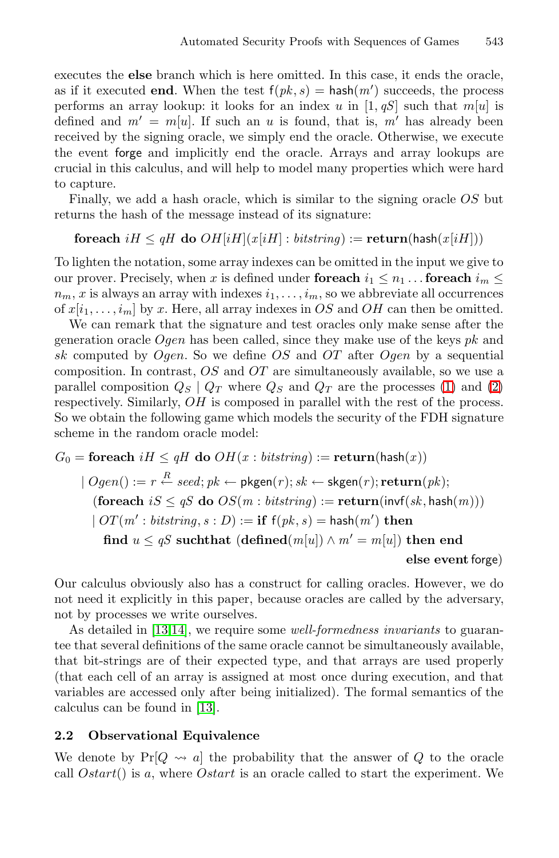executes the **else** branch which is here omitted. In this case, it ends the oracle, as if it executed **end**. When the test  $f(pk, s) = \text{hash}(m')$  succeeds, the process<br>performs an array lookup: it looks for an index u in [1, a<sup>c</sup>] such that m[u] is performs an array lookup: it looks for an index u in  $[1, qS]$  such that  $m[u]$  is defined and  $m' = m[u]$ . If such an u is found, that is, m' has already been received by the signing oracle, we simply end the oracle. Otherwise, we execute the event forge and implicitly end the oracle. Arrays and array lookups are crucial in this calculus, and will help to model many properties which were hard to capture.

Finally, we add a hash oracle, which is similar to the signing oracle OS but returns the hash of the message instead of its signature:

**foreach**  $iH \leq qH$  **do**  $OH[iH](x[iH]: \text{bitstring}) := \text{return}(\text{hash}(x[iH]))$ 

To lighten the notation, some array indexes can be omitted in the input we give to our prover. Precisely, when x is defined under **foreach**  $i_1 \leq n_1 \dots$  **foreach**  $i_m \leq$  $n_m$ , x is always an array with indexes  $i_1, \ldots, i_m$ , so we abbreviate all occurrences of  $x[i_1,\ldots,i_m]$  by x. Here, all array indexes in OS and OH can then be omitted.

We can remark that the signature and test oracles only make sense after the generation oracle  $Ogen$  has been called, since they make use of the keys  $pk$  and sk computed by Ogen. So we define  $OS$  and  $OT$  after Ogen by a sequential composition. In contrast,  $OS$  and  $OT$  are simultaneously available, so we use a parallel composition  $Q_S \mid Q_T$  where  $Q_S$  and  $Q_T$  are the processes [\(1\)](#page-5-0) and [\(2\)](#page-5-1) respectively. Similarly, OH is composed in parallel with the rest of the process. So we obtain the following game which models the security of the FDH signature scheme in the random oracle model:

$$
G_0 = \textbf{foreach } iH \leq qH \textbf{ do } OH(x : bitstring) := \textbf{return(hash}(x))
$$
\n
$$
|\text{ Ogen}| := r \xleftarrow{R} seed; pk \leftarrow \text{pkgen}(r); sk \leftarrow \text{skgen}(r); \textbf{return}(pk);
$$
\n
$$
(\textbf{foreach } iS \leq qS \textbf{ do } OS(m : bitstring) := \textbf{return}(\text{invf}(sk, \text{hash}(m)))
$$
\n
$$
|\text{ OT}(m' : bitstring, s : D) := \textbf{if } f(pk, s) = \text{hash}(m') \textbf{ then}
$$
\n
$$
\textbf{find } u \leq qS \textbf{ such that } (\textbf{defined}(m[u]) \wedge m' = m[u]) \textbf{ then end}
$$
\n
$$
\textbf{else event } \text{forge})
$$

Our calculus obviously also has a construct for calling oracles. However, we do not need it explicitly in this paper, because oracles are called by the adversary, not by processes we write ourselves.

As detailed in [\[13](#page-16-15)[,14\]](#page-16-16), we require some *well-formedness invariants* to guarantee that several definitions of the same oracle cannot be simultaneously available, that bit-strings are of their expected type, and that arrays are used properly (that each cell of an array is assigned at most once during execution, and that variables are accessed only after being initialized). The formal semantics of the calculus can be found in [\[13\]](#page-16-15).

#### **2.2 Observational Equivalence**

We denote by  $Pr[Q \leadsto a]$  the probability that the answer of Q to the oracle call  $Ostart()$  is a where  $Ostart$  is an oracle called to start the experiment. We call  $Ostart()$  is a, where  $Ostart$  is an oracle called to start the experiment. We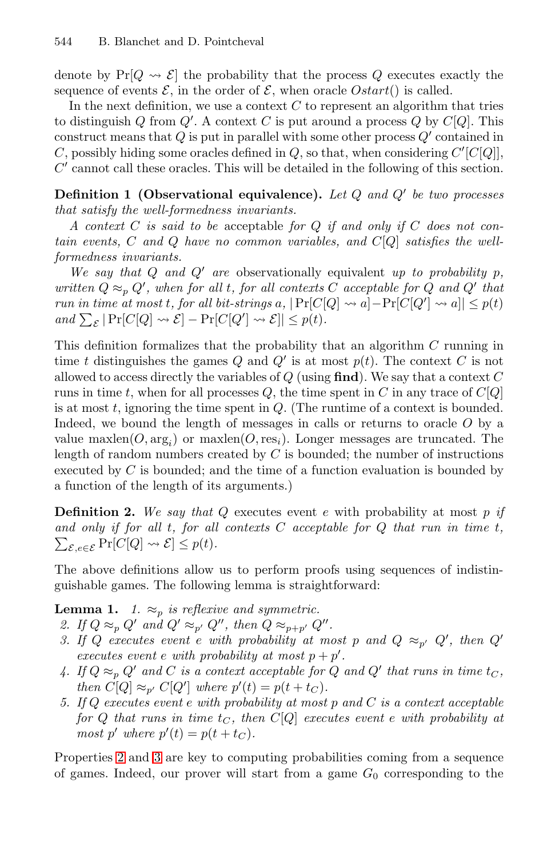denote by  $Pr[Q \leadsto \mathcal{E}]$  the probability that the process  $Q$  executes exactly the sequence of events  $\mathcal{E}$  in the order of  $\mathcal{E}$  when oracle  $Ostart()$  is called sequence of events  $\mathcal{E}$ , in the order of  $\mathcal{E}$ , when oracle  $Ostart()$  is called.

In the next definition, we use a context  $C$  to represent an algorithm that tries to distinguish Q from  $Q'$ . A context C is put around a process Q by  $C[Q]$ . This construct means that Q is put in parallel with some other process  $Q'$  contained in construct means that  $Q$  is put in parallel with some other process  $Q'$  contained in C, possibly hiding some oracles defined in  $Q$ , so that, when considering  $C'[C[Q]]$ ,  $C'$  cannot call these oracles. This will be detailed in the following of this section.  $C^{\prime}$  cannot call these oracles. This will be detailed in the following of this section.

**Definition 1 (Observational equivalence).** Let Q and Q' be two processes *that satisfy the well-formedness invariants.*

*A context* C *is said to be* acceptable *for* Q *if and only if* C *does not contain events,* C *and* Q *have no common variables, and* C[Q] *satisfies the wellformedness invariants.*

*We say that* Q *and* Q *are* observationally equivalent *up to probability* <sup>p</sup>*, written*  $Q \approx_p Q'$ , when for all t, for all contexts C acceptable for Q and Q' that<br>*run* in time at most t, for all bit-strings a  $|\Pr[C|Q] \approx a|-Pr[C|Q'] \approx a| \le n(t)$ *run in time at most t, for all bit-strings*  $a$ ,  $|\Pr[C[Q] \leadsto a] - \Pr[C[Q'] \leadsto a]| \leq p(t)$ <br>and  $\sum |\Pr[C[Q] \leadsto s] - \Pr[C[Q'] \leadsto s]| \leq p(t)$  $and \sum_{\mathcal{E}} |\Pr[C[Q] \leadsto \mathcal{E}] - \Pr[C[Q'] \leadsto \mathcal{E}]| \leq p(t).$ 

This definition formalizes that the probability that an algorithm C running in time t distinguishes the games Q and Q' is at most  $p(t)$ . The context C is not allowed to access directly the variables of Q (using **find**). We say that a context C runs in time t, when for all processes  $Q$ , the time spent in C in any trace of  $C|Q|$ is at most  $t$ , ignoring the time spent in  $Q$ . (The runtime of a context is bounded. Indeed, we bound the length of messages in calls or returns to oracle  $O$  by a value maxlen( $O$ ,  $arg_i$ ) or maxlen( $O$ , res<sub>*i*</sub>). Longer messages are truncated. The length of random numbers created by  $C$  is bounded; the number of instructions executed by C is bounded; and the time of a function evaluation is bounded by a function of the length of its arguments.)

**Definition 2.** *We say that* Q executes event e with probability at most p *if and only if for all t, for all contexts* C *acceptable for* Q *that run in time* t,<br> $\sum_{r} \Pr[C(G) \sim S] \leq n^{(r)}$  $\sum_{\mathcal{E}, e \in \mathcal{E}} \Pr[C[Q] \leadsto \mathcal{E}] \leq p(t).$ 

The above definitions allow us to perform proofs using sequences of indistinguishable games. The following lemma is straightforward:

<span id="page-7-1"></span><span id="page-7-0"></span>**Lemma 1.** *1.*  $\approx_p$  *is reflexive and symmetric.* 

- 2. If  $Q \approx_p Q'$  and  $Q' \approx_{p'} Q''$ , then  $Q \approx_{p+p'} Q''$ .<br>
<sup>2</sup>. If  $Q$  executes event e with probability at me
- *3.* If Q executes event e with probability at most p and  $Q \approx_{p'} Q'$ , then  $Q'$  executes event e with probability at most  $p + p'$ *executes event e with probability at most*  $p + p'$ .<br>*If*  $Q \approx Q'$  and *C* is a context acceptable for  $Q$ .
- <span id="page-7-2"></span>4. If  $Q \approx_{p} Q'$  and C is a context acceptable for Q and Q' that runs in time  $t_C$ , *then*  $C[Q] \approx_{p'} C[Q']$  where  $p'(t) = p(t + t_C)$ .<br> *If*  $O$  executes event e with probability at most
- *5. If* Q *executes event* e *with probability at most* p *and* C *is a context acceptable for* <sup>Q</sup> *that runs in time* <sup>t</sup>*<sup>C</sup> , then* <sup>C</sup>[Q] *executes event* <sup>e</sup> *with probability at most*  $p'$  where  $p'(t) = p(t + t_C)$ .

Properties [2](#page-7-0) and [3](#page-7-1) are key to computing probabilities coming from a sequence of games. Indeed, our prover will start from a game  $G_0$  corresponding to the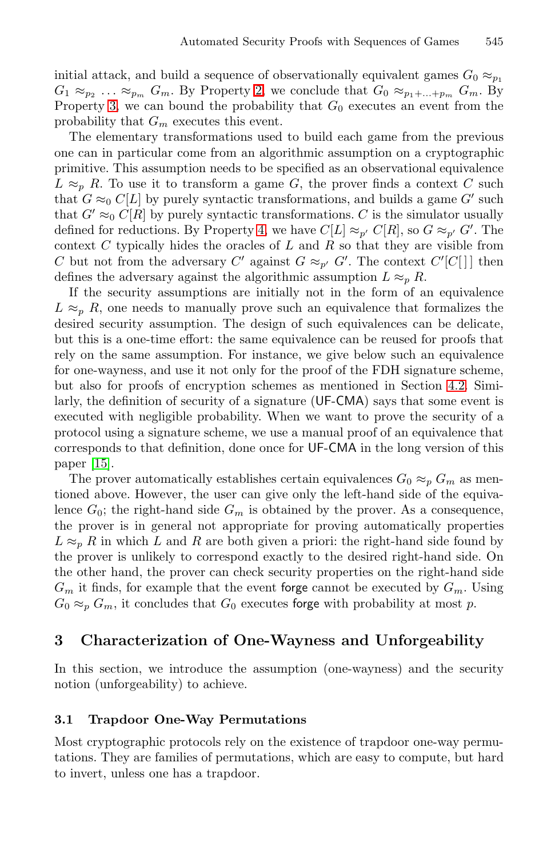initial attack, and build a sequence of observationally equivalent games  $G_0 \approx_{p_1}$  $G_1 \approx_{p_2} \ldots \approx_{p_m} G_m$ . By Property [2,](#page-7-0) we conclude that  $G_0 \approx_{p_1 + \ldots + p_m} G_m$ . By Property [3,](#page-7-1) we can bound the probability that  $G_0$  executes an event from the probability that <sup>G</sup>*<sup>m</sup>* executes this event.

The elementary transformations used to build each game from the previous one can in particular come from an algorithmic assumption on a cryptographic primitive. This assumption needs to be specified as an observational equivalence  $L \approx_{p} R$ . To use it to transform a game G, the prover finds a context C such that  $G \approx_0 C[L]$  by purely syntactic transformations, and builds a game G' such that  $G' \approx_0 C[R]$  by purely syntactic transformations. C is the simulator usually defined for reductions. By Property [4,](#page-7-2) we have  $C[L] \approx_{p'} C[R]$ , so  $G \approx_{p'} G'$ . The context  $C$  typically hides the oracles of L and R so that they are visible from context C typically hides the oracles of  $L$  and  $R$  so that they are visible from C but not from the adversary C' against  $G \approx_{p'} G'$ . The context  $C'[C]]$  then<br>defines the adversary against the algorithmic assumption  $L \approx R$ defines the adversary against the algorithmic assumption  $L \approx_{p} R$ .

If the security assumptions are initially not in the form of an equivalence  $L \approx_{p} R$ , one needs to manually prove such an equivalence that formalizes the desired security assumption. The design of such equivalences can be delicate, but this is a one-time effort: the same equivalence can be reused for proofs that rely on the same assumption. For instance, we give below such an equivalence for one-wayness, and use it not only for the proof of the FDH signature scheme, but also for proofs of encryption schemes as mentioned in Section [4.2.](#page-15-0) Similarly, the definition of security of a signature (UF-CMA) says that some event is executed with negligible probability. When we want to prove the security of a protocol using a signature scheme, we use a manual proof of an equivalence that corresponds to that definition, done once for UF-CMA in the long version of this paper [\[15\]](#page-16-19).

The prover automatically establishes certain equivalences  $G_0 \approx_p G_m$  as mentioned above. However, the user can give only the left-hand side of the equivalence  $G_0$ ; the right-hand side  $G_m$  is obtained by the prover. As a consequence, the prover is in general not appropriate for proving automatically properties  $L \approx_{p} R$  in which L and R are both given a priori: the right-hand side found by the prover is unlikely to correspond exactly to the desired right-hand side. On the other hand, the prover can check security properties on the right-hand side  $G_m$  it finds, for example that the event forge cannot be executed by  $G_m$ . Using  $G_0 \approx_p G_m$ , it concludes that  $G_0$  executes forge with probability at most p.

#### **3 Characterization of One-Wayness and Unforgeability**

In this section, we introduce the assumption (one-wayness) and the security notion (unforgeability) to achieve.

#### <span id="page-8-0"></span>**3.1 Trapdoor One-Way Permutations**

Most cryptographic protocols rely on the existence of trapdoor one-way permutations. They are families of permutations, which are easy to compute, but hard to invert, unless one has a trapdoor.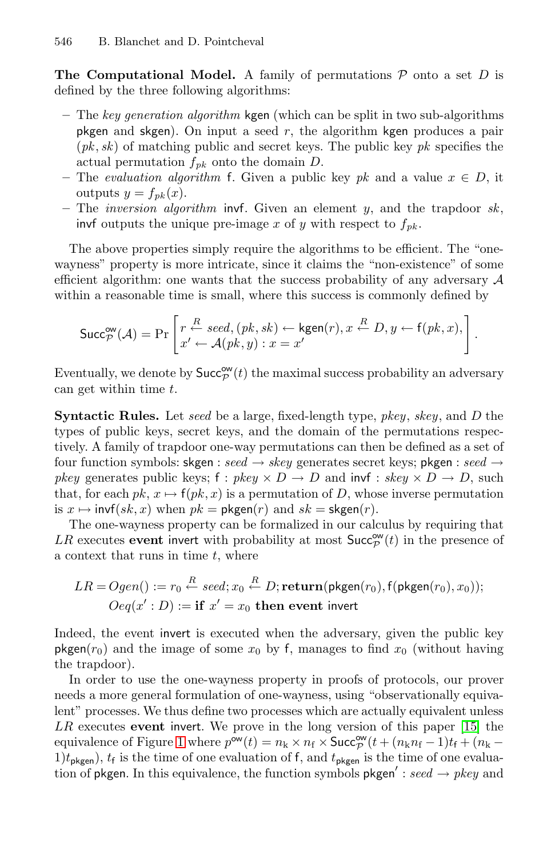**The Computational Model.** A family of permutations  $P$  onto a set  $D$  is defined by the three following algorithms:

- **–** The *key generation algorithm* kgen (which can be split in two sub-algorithms pkgen and skgen). On input a seed  $r$ , the algorithm kgen produces a pair  $(pk, sk)$  of matching public and secret keys. The public key  $pk$  specifies the actual permutation <sup>f</sup>*pk* onto the domain <sup>D</sup>.
- **–** The *evaluation algorithm* f. Given a public key *pk* and a value x <sup>∈</sup> D, it outputs  $y = f_{pk}(x)$ .
- **–** The *inversion algorithm* invf. Given an element y, and the trapdoor *sk*, invf outputs the unique pre-image x of y with respect to  $f_{pk}$ .

The above properties simply require the algorithms to be efficient. The "onewayness" property is more intricate, since it claims the "non-existence" of some efficient algorithm: one wants that the success probability of any adversary  $A$ within a reasonable time is small, where this success is commonly defined by

$$
\text{Succ}^{\text{ow}}_{\mathcal{P}}(\mathcal{A}) = \Pr\left[ r \stackrel{R}{\leftarrow} seed, (pk, sk) \leftarrow \text{kgen}(r), x \stackrel{R}{\leftarrow} D, y \leftarrow f(pk, x), \right] \\ x' \leftarrow \mathcal{A}(pk, y) : x = x'
$$

Eventually, we denote by  $\text{Succ}^{\text{cw}}_{\mathcal{P}}(t)$  the maximal success probability an adversary can get within time t.

**Syntactic Rules.** Let *seed* be a large, fixed-length type, *pkey*, *skey*, and D the types of public keys, secret keys, and the domain of the permutations respectively. A family of trapdoor one-way permutations can then be defined as a set of four function symbols: skgen : *seed* <sup>→</sup> *skey* generates secret keys; pkgen : *seed* <sup>→</sup> *pkey* generates public keys;  $f : pkey \times D \rightarrow D$  and invf : *skey*  $\times D \rightarrow D$ , such that, for each  $pk$ ,  $x \mapsto f(pk, x)$  is a permutation of D, whose inverse permutation is  $x \mapsto \text{invf}(sk, x)$  when  $pk = pkgen(r)$  and  $sk = skgen(r)$ .

The one-wayness property can be formalized in our calculus by requiring that LR executes **event** invert with probability at most  $\text{Succ}^{\text{ow}}_{\mathcal{P}}(t)$  in the presence of a context that runs in time  $t$ , where

$$
LR = Ogen() := r_0 \stackrel{R}{\leftarrow} seed; x_0 \stackrel{R}{\leftarrow} D; \textbf{return}(\text{pkgen}(r_0), f(\text{pkgen}(r_0), x_0));
$$
  

$$
Oeq(x': D) := \textbf{if } x' = x_0 \textbf{ then event invert}
$$

Indeed, the event invert is executed when the adversary, given the public key **pkgen**( $r_0$ ) and the image of some  $x_0$  by f, manages to find  $x_0$  (without having the trapdoor).

In order to use the one-wayness property in proofs of protocols, our prover needs a more general formulation of one-wayness, using "observationally equivalent" processes. We thus define two processes which are actually equivalent unless LR executes **event** invert. We prove in the long version of this paper [\[15\]](#page-16-19) the equivalence of Figure [1](#page-10-0) where  $p^{\mathsf{ow}}(t) = n_{k} \times n_{f} \times \text{Succ}_{p}^{\mathsf{ow}}(t + (n_{k}n_{f} - 1)t_{f} + (n_{k} - 1)t_{f})$  $1/t_{\text{okgen}}$ ),  $t_f$  is the time of one evaluation of f, and  $t_{\text{okgen}}$  is the time of one evaluation of **pkgen**. In this equivalence, the function symbols **pkgen** : *seed*  $\rightarrow$  *pkey* and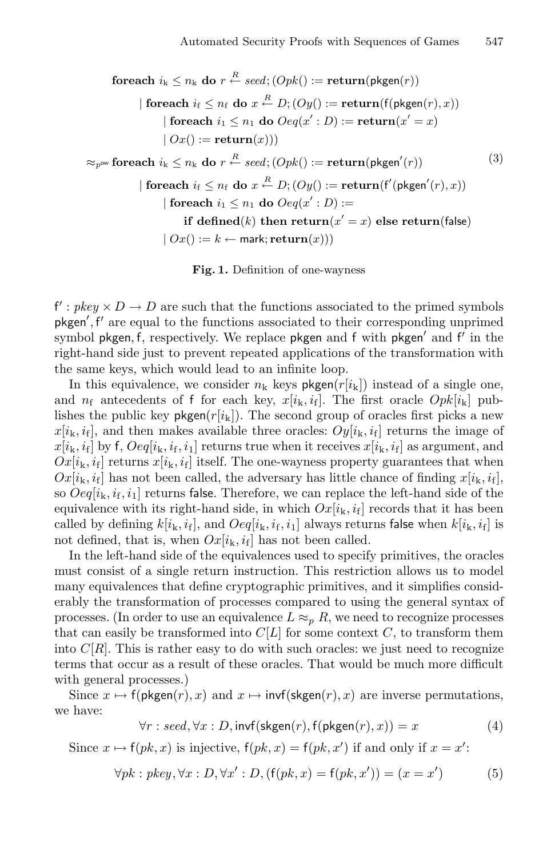\n**for each**\n
$$
i_k \leq n_k
$$
\n**do**\n $r \stackrel{R}{\leftarrow} seed; (Opk() := \textbf{return}(\text{pkgen}(r))$ \n

\n\n $| \textbf{for each } i_i \leq n_i \textbf{ do } x \stackrel{R}{\leftarrow} D; (Oy() := \textbf{return}(f(\text{pkgen}(r), x))$ \n

\n\n $| \textbf{for each } i_1 \leq n_1 \textbf{ do } Oeq(x': D) := \textbf{return}(x' = x)$ \n

\n\n $| Ox() := \textbf{return}(x))$ \n

\n\n $\approx_{p^{\text{ow}}}$ \n**for each**\n $i_k \leq n_k \textbf{ do } r \stackrel{R}{\leftarrow} seed; (Opk() := \textbf{return}(\text{pkgen}'(r))$ \n

\n\n $| \textbf{for each } i_i \leq n_i \textbf{ do } x \stackrel{R}{\leftarrow} D; (Oy() := \textbf{return}(f'(\text{pkgen}'(r), x))$ \n

\n\n $| \textbf{for each } i_1 \leq n_1 \textbf{ do } Oeq(x': D) :=$ \n

\n\n $| \textbf{defined}(k) \textbf{ then } \textbf{return}(x' = x) \textbf{ else } \textbf{return}(\textbf{false})$ \n

\n\n $| Ox() := k \leftarrow \text{mark}; \textbf{return}(x))$ \n

<span id="page-10-1"></span><span id="page-10-0"></span>**Fig. 1.** Definition of one-wayness

 $f' : pkey \times D \to D$  are such that the functions associated to the primed symbols pkgen', f' are equal to the functions associated to their corresponding unprimed<br>symbol pkgen f, respectively. We replace pkgen and f with pkgen' and f' in the symbol pkgen, f, respectively. We replace pkgen and f with pkgen' and  $f'$  in the right-hand side just to prevent repeated applications of the transformation with the same keys, which would lead to an infinite loop.

In this equivalence, we consider  $n_k$  keys pkgen( $r[i_k]$ ) instead of a single one, and  $n_f$  antecedents of f for each key,  $x[i_k, i_f]$ . The first oracle  $Opk[i_k]$  publishes the public key pkgen( $r[i_k]$ ). The second group of oracles first picks a new  $x[i_k, i_l]$ , and then makes available three oracles:  $Oy[i_k, i_l]$  returns the image of  $x[i_k, i_l]$  by f,  $Oeq[i_k, i_l, i_l]$  returns true when it receives  $x[i_k, i_l]$  as argument, and  $Ox[i_k, i_l]$  returns  $x[i_k, i_l]$  itself. The one-wayness property guarantees that when  $Ox[i_k, i_l]$  has not been called, the adversary has little chance of finding  $x[i_k, i_l]$ , so  $Oeq[i_k, i_f, i_l]$  returns false. Therefore, we can replace the left-hand side of the equivalence with its right-hand side, in which  $Ox[i_k, i_f]$  records that it has been called by defining  $k[i_k, i_f]$ , and  $Oeq[i_k, i_f, i_1]$  always returns false when  $k[i_k, i_f]$  is not defined, that is, when  $Ox[i_k, i_j]$  has not been called.

In the left-hand side of the equivalences used to specify primitives, the oracles must consist of a single return instruction. This restriction allows us to model many equivalences that define cryptographic primitives, and it simplifies considerably the transformation of processes compared to using the general syntax of processes. (In order to use an equivalence  $L \approx_p R$ , we need to recognize processes that can easily be transformed into  $C[L]$  for some context C, to transform them into  $C[R]$ . This is rather easy to do with such oracles: we just need to recognize terms that occur as a result of these oracles. That would be much more difficult with general processes.)

<span id="page-10-2"></span>Since  $x \mapsto f(\mathsf{pkgen}(r), x)$  and  $x \mapsto \mathsf{invf}(\mathsf{skgen}(r), x)$  are inverse permutations, we have:

<span id="page-10-3"></span>
$$
\forall r : seed, \forall x : D, \text{invf}(\text{skgen}(r), f(\text{pkgen}(r), x)) = x \tag{4}
$$

Since  $x \mapsto f(pk, x)$  is injective,  $f(pk, x) = f(pk, x')$  if and only if  $x = x'$ :

$$
\forall pk : pkey, \forall x : D, \forall x' : D, (f(pk, x) = f(pk, x')) = (x = x')
$$
 (5)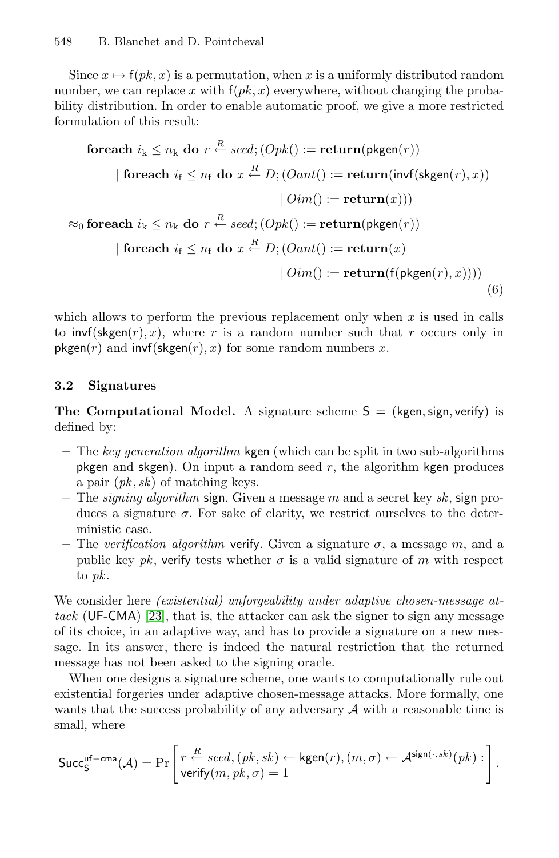Since  $x \mapsto f(pk, x)$  is a permutation, when x is a uniformly distributed random number, we can replace x with  $f(pk, x)$  everywhere, without changing the probability distribution. In order to enable automatic proof, we give a more restricted formulation of this result:

\n**for each**\n
$$
i_k \leq n_k
$$
\n**do**\n $r \stackrel{R}{\leftarrow} seed$ \n $(Opk()$ \n $:= \text{return}(\text{pkgen}(r))$ \n $| \text{ for each } i_f \leq n_f$ \n**do**\n $x \stackrel{R}{\leftarrow} D$ \n $(Oant()$ \n $:= \text{return}(\text{invf}(\text{skgen}(r), x))$ \n $| \text{ } Oim()$ \n $:= \text{return}(x))$ \n

\n\n $\approx_0$ \n**for each**\n $i_k \leq n_k$ \n**do**\n $r \stackrel{R}{\leftarrow} seed$ \n $(Opk()$ \n $:= \text{return}(\text{pkgen}(r))$ \n $| \text{ Green\n $i_f \leq n_f$ \n**do**\n $x \stackrel{R}{\leftarrow} D$ \n $(Oant()$ \n $:= \text{return}(x)$ \n $| \text{ } Oim()$ \n $:= \text{return}(f(\text{pkgen}(r), x)))$ \n$ 

<span id="page-11-0"></span>which allows to perform the previous replacement only when  $x$  is used in calls to  $invf$ (skgen $(r), x$ ), where r is a random number such that r occurs only in  $p \text{kgen}(r)$  and  $invf(\text{skgen}(r), x)$  for some random numbers x.

#### <span id="page-11-1"></span>**3.2 Signatures**

**The Computational Model.** A signature scheme  $S = (kgen, sign, verify)$  is defined by:

- **–** The *key generation algorithm* kgen (which can be split in two sub-algorithms pkgen and skgen). On input a random seed  $r$ , the algorithm kgen produces a pair (*pk* , *sk*) of matching keys.
- **–** The *signing algorithm* sign. Given a message m and a secret key *sk*, sign produces a signature  $\sigma$ . For sake of clarity, we restrict ourselves to the deterministic case.
- **–** The *verification algorithm* verify. Given a signature <sup>σ</sup>, a message <sup>m</sup>, and a public key *pk*, verify tests whether  $\sigma$  is a valid signature of m with respect to *pk* .

We consider here *(existential) unforgeability under adaptive chosen-message attack* (UF-CMA) [\[23\]](#page-17-2), that is, the attacker can ask the signer to sign any message of its choice, in an adaptive way, and has to provide a signature on a new message. In its answer, there is indeed the natural restriction that the returned message has not been asked to the signing oracle.

When one designs a signature scheme, one wants to computationally rule out existential forgeries under adaptive chosen-message attacks. More formally, one wants that the success probability of any adversary  $A$  with a reasonable time is small, where

$$
\text{Succ}_{\mathsf{S}}^{\text{uf-cma}}(\mathcal{A}) = \Pr\left[r \stackrel{R}{\leftarrow} seed, (pk, sk) \leftarrow \text{kgen}(r), (m, \sigma) \leftarrow \mathcal{A}^{\text{sign}(\cdot, sk)}(pk) : \right].
$$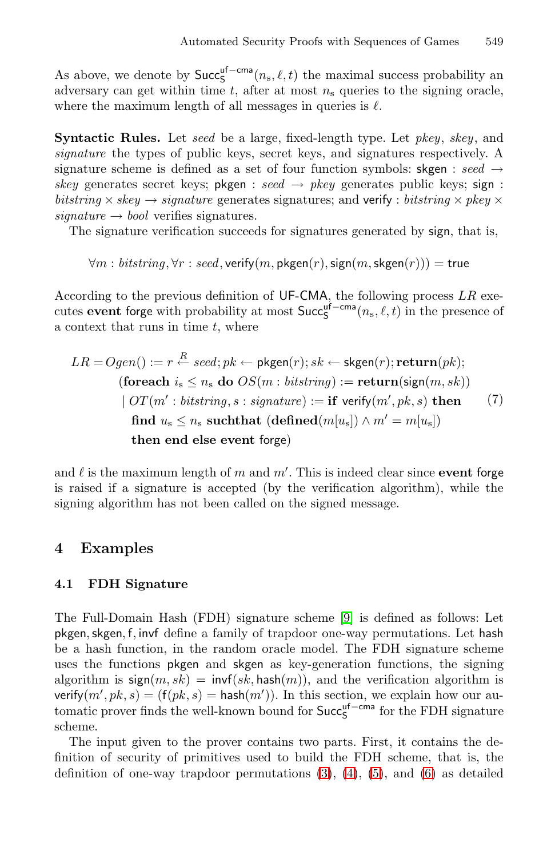As above, we denote by  $\text{Succ}_{S}^{\text{u}-\text{cma}}(n_{s}, \ell, t)$  the maximal success probability and success probability and success probability and success probability and success probability and success probability and success p adversary can get within time  $t$ , after at most  $n<sub>s</sub>$  queries to the signing oracle, where the maximum length of all messages in queries is  $\ell$ .

**Syntactic Rules.** Let *seed* be a large, fixed-length type. Let *pkey*, *skey*, and *signature* the types of public keys, secret keys, and signatures respectively. A signature scheme is defined as a set of four function symbols: **skgen** : *seed*  $\rightarrow$ *skey* generates secret keys; pkgen : *seed*  $\rightarrow$  *pkey* generates public keys; sign : *bitstring*  $\times$  *skey*  $\rightarrow$  *signature* generates signatures; and verify : *bitstring*  $\times$  *pkey*  $\times$  $signature \rightarrow bool$  verifies signatures.

The signature verification succeeds for signatures generated by sign, that is,

$$
\forall m: \textit{bitsstring}, \forall r: \textit{seed}, \textsf{verify}(m, \textsf{pkgen}(r), \textsf{sign}(m, \textsf{skgen}(r))) = \textsf{true}
$$

According to the previous definition of UF-CMA, the following process LR executes **event** forge with probability at most  $Succ_S^{ur-cma}(n_s, \ell, t)$  in the presence of a context that runs in time t, where a context that runs in time  $t$ , where

<span id="page-12-0"></span>
$$
LR = Ogen() := r \xleftarrow{R} seed; pk \leftarrow pkgen(r); sk \leftarrow skgen(r); return(pk);
$$
  
(**foreach**  $i_s \leq n_s$  **do**  $OS(m : bitstring) := return(sign(m, sk))$   
 $| OT(m': bitstring, s : signature) :=$  **if** verify( $m', pk, s$ ) **then** (7)  
**find**  $u_s \leq n_s$  **such that** (**defined**( $m[u_s]$ )  $\wedge m' = m[u_s]$ )  
**then end else event forge**)

and  $\ell$  is the maximum length of m and  $m'$ . This is indeed clear since **event** forger is recepted (by the verification algorithm), while the is raised if a signature is accepted (by the verification algorithm), while the signing algorithm has not been called on the signed message.

## **4 Examples**

#### **4.1 FDH Signature**

The Full-Domain Hash (FDH) signature scheme [\[9\]](#page-16-17) is defined as follows: Let pkgen, skgen, f, invf define a family of trapdoor one-way permutations. Let hash be a hash function, in the random oracle model. The FDH signature scheme uses the functions pkgen and skgen as key-generation functions, the signing algorithm is  $sign(m, sk) = invf(sk, hash(m)$ , and the verification algorithm is verify $(m', pk, s) = (f(pk, s) = hash(m'))$ . In this section, we explain how our automatic prover finds the well-known bound for Succ<sup>uf-cma</sup> for the FDH signature tomatic prover finds the well-known bound for  $Succ_S^{ur-cma}$  for the FDH signature scheme scheme.

The input given to the prover contains two parts. First, it contains the definition of security of primitives used to build the FDH scheme, that is, the definition of one-way trapdoor permutations  $(3)$ ,  $(4)$ ,  $(5)$ , and  $(6)$  as detailed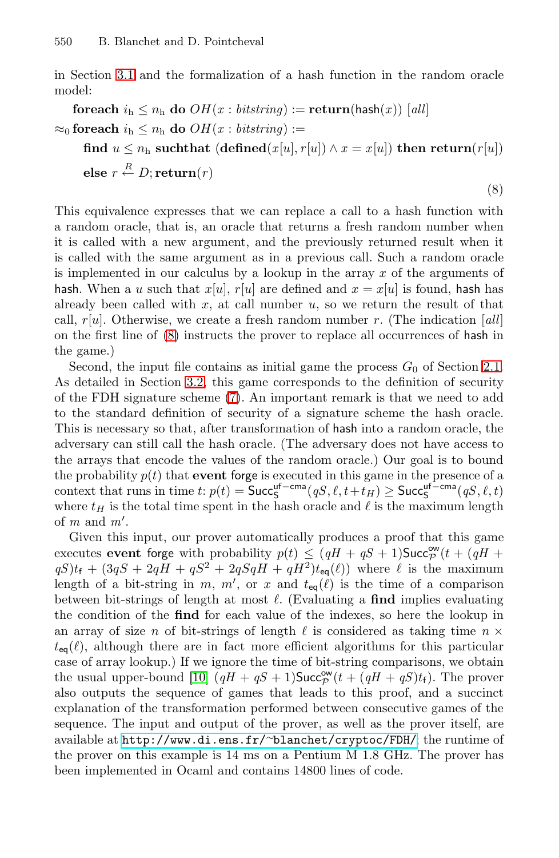in Section [3.1](#page-8-0) and the formalization of a hash function in the random oracle model:

**forecast** 
$$
i_h \leq n_h
$$
 **do**  $OH(x : bitstring) :=$  **return**( $hash(x)$ ) [*all*]  
\n $\approx_0$  **forecast**  $i_h \leq n_h$  **do**  $OH(x : bitstring) :=$   
\n**find**  $u \leq n_h$  **such that** (**defined**( $x[u], r[u]) \wedge x = x[u]$ ) **then return**( $r[u]$ )  
\n**else**  $r \stackrel{R}{\leftarrow} D$ ; **return**( $r$ )

<span id="page-13-0"></span>(8)

This equivalence expresses that we can replace a call to a hash function with a random oracle, that is, an oracle that returns a fresh random number when it is called with a new argument, and the previously returned result when it is called with the same argument as in a previous call. Such a random oracle is implemented in our calculus by a lookup in the array  $x$  of the arguments of hash. When a u such that  $x[u]$ ,  $r[u]$  are defined and  $x = x[u]$  is found, hash has already been called with  $x$ , at call number  $u$ , so we return the result of that call, r[u]. Otherwise, we create a fresh random number r. (The indication [*all*] on the first line of [\(8\)](#page-13-0) instructs the prover to replace all occurrences of hash in the game.)

Second, the input file contains as initial game the process  $G_0$  of Section [2.1.](#page-4-0) As detailed in Section [3.2,](#page-11-1) this game corresponds to the definition of security of the FDH signature scheme [\(7\)](#page-12-0). An important remark is that we need to add to the standard definition of security of a signature scheme the hash oracle. This is necessary so that, after transformation of hash into a random oracle, the adversary can still call the hash oracle. (The adversary does not have access to the arrays that encode the values of the random oracle.) Our goal is to bound the probability  $p(t)$  that **event** forge is executed in this game in the presence of a context that runs in time  $t: p(t) = \text{Succ}^{\text{cut-cma}}_S(qS, \ell, t+t_H) \ge \text{Succ}^{\text{cut-cma}}_S(qS, \ell, t)$ <br>where  $t_H$  is the total time spent in the hash oracle and  $\ell$  is the maximum length where  $t_H$  is the total time spent in the hash oracle and  $\ell$  is the maximum length of  $m$  and  $m'$ .

Given this input, our prover automatically produces a proof that this game executes **event** forge with probability  $p(t) \leq (qH + qS + 1)$ Succ<sub>p</sub><sup>o</sup> $(t + (qH + qS)t + (3qS + 2qH + qS^2 + 2qSqH + qH^2)t$  (*()*) where  $\ell$  is the maximum  $qS)t_f + (3qS + 2qH + qS^2 + 2qSqH + qH^2)t_{eq}(\ell)$  where  $\ell$  is the maximum length of a bit-string in m, m', or x and  $t_{eq}(\ell)$  is the time of a comparison<br>between bit-strings of length at most  $\ell$  (Evaluating a **find** implies evaluating between bit-strings of length at most  $\ell$ . (Evaluating a **find** implies evaluating the condition of the **find** for each value of the indexes, so here the lookup in an array of size n of bit-strings of length  $\ell$  is considered as taking time  $n \times$  $t_{eq}(\ell)$ , although there are in fact more efficient algorithms for this particular case of array lookup.) If we ignore the time of bit-string comparisons, we obtain the usual upper-bound [\[10\]](#page-16-18)  $(qH + qS + 1)$ Succ<sub>p</sub><sup>ow</sup> $(t + (qH + qS)t_f)$ . The prover also outputs the sequence of games that leads to this proof, and a succinct explanation of the transformation performed between consecutive games of the sequence. The input and output of the prover, as well as the prover itself, are available at [http://www.di.ens.fr/](http://www.di.ens.fr/~blanchet/cryptoc/FDH/)∼blanchet/cryptoc/FDH/; the runtime of the prover on this example is 14 ms on a Pentium M 1.8 GHz. The prover has been implemented in Ocaml and contains 14800 lines of code.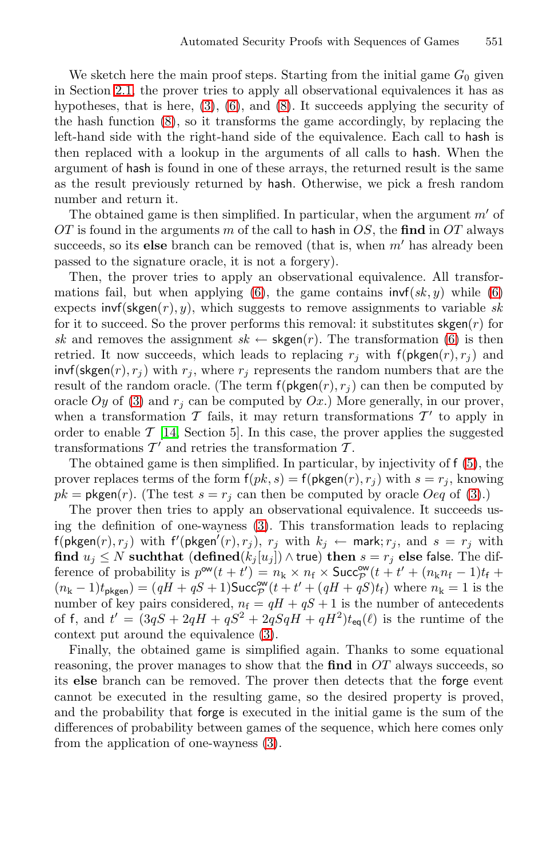We sketch here the main proof steps. Starting from the initial game  $G_0$  given in Section [2.1,](#page-4-0) the prover tries to apply all observational equivalences it has as hypotheses, that is here, [\(3\)](#page-10-1), [\(6\)](#page-11-0), and [\(8\)](#page-13-0). It succeeds applying the security of the hash function [\(8\)](#page-13-0), so it transforms the game accordingly, by replacing the left-hand side with the right-hand side of the equivalence. Each call to hash is then replaced with a lookup in the arguments of all calls to hash. When the argument of hash is found in one of these arrays, the returned result is the same as the result previously returned by hash. Otherwise, we pick a fresh random number and return it.

The obtained game is then simplified. In particular, when the argument  $m'$  of  $OT$  is found in the arguments m of the call to hash in  $OS$ , the **find** in  $OT$  always succeeds, so its **else** branch can be removed (that is, when  $m'$  has already been passed to the signature oracle, it is not a forgery).

Then, the prover tries to apply an observational equivalence. All transformations fail, but when applying  $(6)$ , the game contains  $\text{invf}(sk, y)$  while  $(6)$ expects  $invf$ (skgen( $r$ ),  $y$ ), which suggests to remove assignments to variable  $sk$ for it to succeed. So the prover performs this removal: it substitutes  $\mathsf{skgen}(r)$  for *sk* and removes the assignment  $sk \leftarrow \text{skgen}(r)$ . The transformation [\(6\)](#page-11-0) is then retried. It now succeeds, which leads to replacing  $r_j$  with  $f(\mathsf{pkgen}(r), r_j)$  and  $invf$ (skgen(r),  $r_j$ ) with  $r_j$ , where  $r_j$  represents the random numbers that are the result of the random oracle. (The term  $f(\mathsf{pkgen}(r), r_i)$  can then be computed by oracle  $Oy$  of [\(3\)](#page-10-1) and  $r_j$  can be computed by  $Ox$ .) More generally, in our prover, when a transformation  $\mathcal T$  fails, it may return transformations  $\mathcal T'$  to apply in order to enable  $\mathcal{T}$  [\[14,](#page-16-16) Section 5]. In this case, the prover applies the suggested transformations  $\mathcal{T}'$  and retries the transformation  $\mathcal{T}$ .

The obtained game is then simplified. In particular, by injectivity of f [\(5\)](#page-10-3), the prover replaces terms of the form  $f(pk, s) = f(\mathsf{pkgen}(r), r_i)$  with  $s = r_i$ , knowing  $pk = pkgen(r)$ . (The test  $s = r_j$  can then be computed by oracle *Oeq* of [\(3\)](#page-10-1).)

The prover then tries to apply an observational equivalence. It succeeds using the definition of one-wayness [\(3\)](#page-10-1). This transformation leads to replacing f(pkgen(r),  $r_j$ ) with f'(pkgen'(r),  $r_j$ ),  $r_j$  with  $k_j \leftarrow$  mark;  $r_j$ , and  $s = r_j$  with find  $y \leq N$  such that (defined(k [y, ])  $\land$  true) then  $s - r_j$  else false. The dif**find**  $u_j$  ≤ N **suchthat** (**defined**( $k_j$ [ $u_j$ ]) ∧ **true) then**  $s = r_j$  **else** false. The difference of probability is  $p^{\text{ow}}(t + t') = n_k \times n_f \times \text{Succ}^{\text{ow}}_p(t + t' + (n_k n_f - 1)t_f + (n_k - 1)t_f) - (aH + aS + 1)\text{Succ}^{\text{ow}}_p(t + t' + (aH + aS)t_f)$  where  $n_k - 1$  is the  $(n_k - 1)t_{\text{pkgen}} = (qH + qS + 1)\text{Succ}^{\text{ow}}_p(t + t' + (qH + qS)t_f)$  where  $n_k = 1$  is the number of law pairs considered  $n_k = aH + aS + 1$  is the number of antecedents number of key pairs considered,  $n_f = qH + qS + 1$  is the number of antecedents of f, and  $t' = (3qS + 2qH + qS^2 + 2qSqH + qH^2)t_{eq}(\ell)$  is the runtime of the context put around the equivalence (3) context put around the equivalence [\(3\)](#page-10-1).

Finally, the obtained game is simplified again. Thanks to some equational reasoning, the prover manages to show that the **find** in OT always succeeds, so its **else** branch can be removed. The prover then detects that the forge event cannot be executed in the resulting game, so the desired property is proved, and the probability that forge is executed in the initial game is the sum of the differences of probability between games of the sequence, which here comes only from the application of one-wayness [\(3\)](#page-10-1).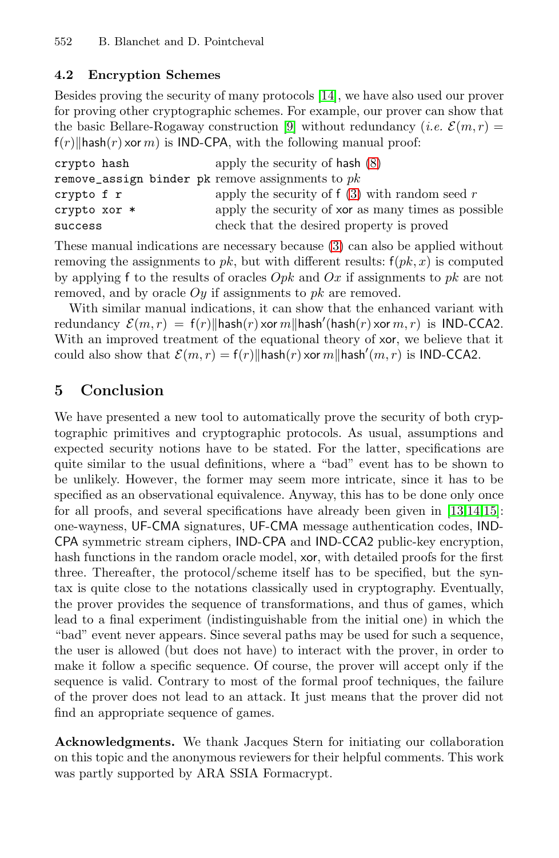## <span id="page-15-0"></span>**4.2 Encryption Schemes**

Besides proving the security of many protocols [\[14\]](#page-16-16), we have also used our prover for proving other cryptographic schemes. For example, our prover can show that the basic Bellare-Rogaway construction [\[9\]](#page-16-17) without redundancy (*i.e.*  $\mathcal{E}(m,r)$  =  $f(r)$ ||hash $(r)$  xor m) is IND-CPA, with the following manual proof:

| crypto hash                                        | apply the security of hash $(8)$                    |
|----------------------------------------------------|-----------------------------------------------------|
| remove_assign binder pk remove assignments to $pk$ |                                                     |
| crypto f r                                         | apply the security of $f(3)$ with random seed r     |
| crypto xor *                                       | apply the security of xor as many times as possible |
| success                                            | check that the desired property is proved           |

These manual indications are necessary because [\(3\)](#page-10-1) can also be applied without removing the assignments to  $pk$ , but with different results:  $f(pk, x)$  is computed by applying f to the results of oracles  $Opk$  and  $Ox$  if assignments to  $pk$  are not removed, and by oracle  $Oy$  if assignments to pk are removed.

With similar manual indications, it can show that the enhanced variant with redundancy  $\mathcal{E}(m,r) = f(r)$ ||hash $(r)$  xor m||hash'(hash $(r)$  xor m, r) is IND-CCA2.<br>With an improved treatment of the equational theory of xor, we believe that it With an improved treatment of the equational theory of xor, we believe that it could also show that  $\mathcal{E}(m,r) = \mathsf{f}(r) \|\mathsf{hash}(r) \times \mathsf{or} \, m\|\mathsf{hash}'(m,r)$  is IND-CCA2.

## **5 Conclusion**

We have presented a new tool to automatically prove the security of both cryptographic primitives and cryptographic protocols. As usual, assumptions and expected security notions have to be stated. For the latter, specifications are quite similar to the usual definitions, where a "bad" event has to be shown to be unlikely. However, the former may seem more intricate, since it has to be specified as an observational equivalence. Anyway, this has to be done only once for all proofs, and several specifications have already been given in [\[13](#page-16-15)[,14](#page-16-16)[,15\]](#page-16-19): one-wayness, UF-CMA signatures, UF-CMA message authentication codes, IND-CPA symmetric stream ciphers, IND-CPA and IND-CCA2 public-key encryption, hash functions in the random oracle model, xor, with detailed proofs for the first three. Thereafter, the protocol/scheme itself has to be specified, but the syntax is quite close to the notations classically used in cryptography. Eventually, the prover provides the sequence of transformations, and thus of games, which lead to a final experiment (indistinguishable from the initial one) in which the "bad" event never appears. Since several paths may be used for such a sequence, the user is allowed (but does not have) to interact with the prover, in order to make it follow a specific sequence. Of course, the prover will accept only if the sequence is valid. Contrary to most of the formal proof techniques, the failure of the prover does not lead to an attack. It just means that the prover did not find an appropriate sequence of games.

**Acknowledgments.** We thank Jacques Stern for initiating our collaboration on this topic and the anonymous reviewers for their helpful comments. This work was partly supported by ARA SSIA Formacrypt.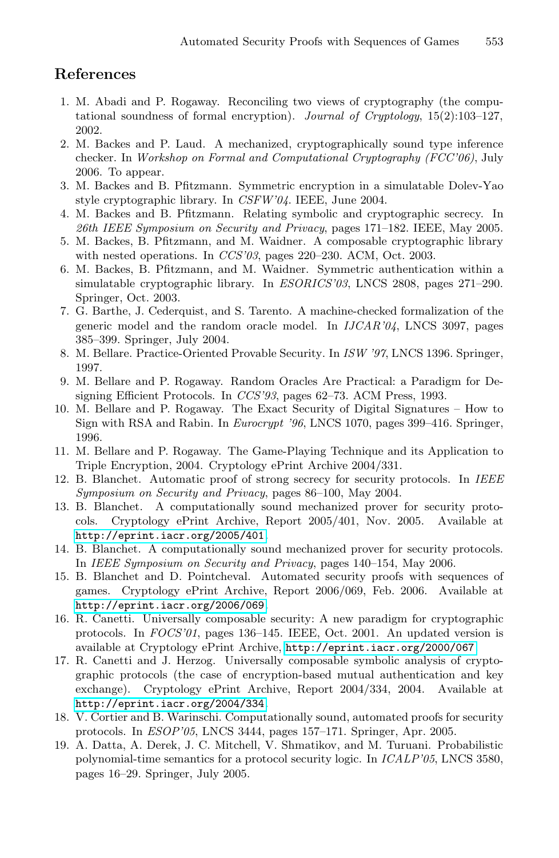### <span id="page-16-3"></span><span id="page-16-1"></span>**References**

- 1. M. Abadi and P. Rogaway. Reconciling two views of cryptography (the computational soundness of formal encryption). *Journal of Cryptology*, 15(2):103–127, 2002.
- <span id="page-16-13"></span>2. M. Backes and P. Laud. A mechanized, cryptographically sound type inference checker. In *Workshop on Formal and Computational Cryptography (FCC'06)*, July 2006. To appear.
- <span id="page-16-7"></span>3. M. Backes and B. Pfitzmann. Symmetric encryption in a simulatable Dolev-Yao style cryptographic library. In *CSFW'04*. IEEE, June 2004.
- <span id="page-16-8"></span>4. M. Backes and B. Pfitzmann. Relating symbolic and cryptographic secrecy. In *26th IEEE Symposium on Security and Privacy*, pages 171–182. IEEE, May 2005.
- <span id="page-16-5"></span>5. M. Backes, B. Pfitzmann, and M. Waidner. A composable cryptographic library with nested operations. In *CCS'03*, pages 220–230. ACM, Oct. 2003.
- <span id="page-16-6"></span>6. M. Backes, B. Pfitzmann, and M. Waidner. Symmetric authentication within a simulatable cryptographic library. In *ESORICS'03*, LNCS 2808, pages 271–290. Springer, Oct. 2003.
- <span id="page-16-14"></span>7. G. Barthe, J. Cederquist, and S. Tarento. A machine-checked formalization of the generic model and the random oracle model. In *IJCAR'04*, LNCS 3097, pages 385–399. Springer, July 2004.
- <span id="page-16-0"></span>8. M. Bellare. Practice-Oriented Provable Security. In *ISW '97*, LNCS 1396. Springer, 1997.
- <span id="page-16-17"></span>9. M. Bellare and P. Rogaway. Random Oracles Are Practical: a Paradigm for Designing Efficient Protocols. In *CCS'93*, pages 62–73. ACM Press, 1993.
- <span id="page-16-18"></span>10. M. Bellare and P. Rogaway. The Exact Security of Digital Signatures – How to Sign with RSA and Rabin. In *Eurocrypt '96*, LNCS 1070, pages 399–416. Springer, 1996.
- <span id="page-16-2"></span>11. M. Bellare and P. Rogaway. The Game-Playing Technique and its Application to Triple Encryption, 2004. Cryptology ePrint Archive 2004/331.
- <span id="page-16-11"></span>12. B. Blanchet. Automatic proof of strong secrecy for security protocols. In *IEEE Symposium on Security and Privacy*, pages 86–100, May 2004.
- <span id="page-16-15"></span>13. B. Blanchet. A computationally sound mechanized prover for security protocols. Cryptology ePrint Archive, Report 2005/401, Nov. 2005. Available at <http://eprint.iacr.org/2005/401>.
- <span id="page-16-16"></span>14. B. Blanchet. A computationally sound mechanized prover for security protocols. In *IEEE Symposium on Security and Privacy*, pages 140–154, May 2006.
- <span id="page-16-19"></span>15. B. Blanchet and D. Pointcheval. Automated security proofs with sequences of games. Cryptology ePrint Archive, Report 2006/069, Feb. 2006. Available at <http://eprint.iacr.org/2006/069>.
- <span id="page-16-9"></span>16. R. Canetti. Universally composable security: A new paradigm for cryptographic protocols. In *FOCS'01*, pages 136–145. IEEE, Oct. 2001. An updated version is available at Cryptology ePrint Archive, <http://eprint.iacr.org/2000/067>.
- <span id="page-16-10"></span>17. R. Canetti and J. Herzog. Universally composable symbolic analysis of cryptographic protocols (the case of encryption-based mutual authentication and key exchange). Cryptology ePrint Archive, Report 2004/334, 2004. Available at <http://eprint.iacr.org/2004/334>.
- <span id="page-16-4"></span>18. V. Cortier and B. Warinschi. Computationally sound, automated proofs for security protocols. In *ESOP'05*, LNCS 3444, pages 157–171. Springer, Apr. 2005.
- <span id="page-16-12"></span>19. A. Datta, A. Derek, J. C. Mitchell, V. Shmatikov, and M. Turuani. Probabilistic polynomial-time semantics for a protocol security logic. In *ICALP'05*, LNCS 3580, pages 16–29. Springer, July 2005.